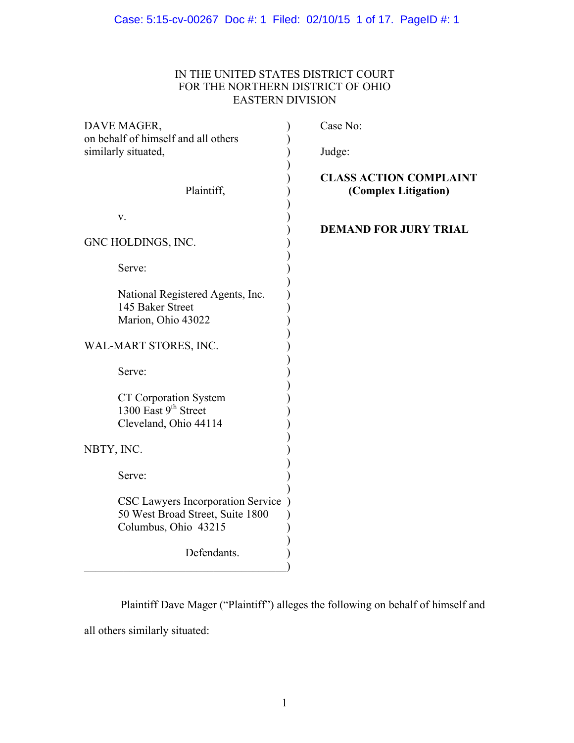# IN THE UNITED STATES DISTRICT COURT FOR THE NORTHERN DISTRICT OF OHIO EASTERN DIVISION

| DAVE MAGER,                                                                                                  | Case No:                                              |
|--------------------------------------------------------------------------------------------------------------|-------------------------------------------------------|
| on behalf of himself and all others<br>similarly situated,                                                   | Judge:                                                |
| Plaintiff,                                                                                                   | <b>CLASS ACTION COMPLAINT</b><br>(Complex Litigation) |
| V.                                                                                                           | <b>DEMAND FOR JURY TRIAL</b>                          |
| GNC HOLDINGS, INC.                                                                                           |                                                       |
| Serve:                                                                                                       |                                                       |
| National Registered Agents, Inc.<br>145 Baker Street<br>Marion, Ohio 43022                                   |                                                       |
| WAL-MART STORES, INC.                                                                                        |                                                       |
| Serve:                                                                                                       |                                                       |
| <b>CT Corporation System</b><br>1300 East 9th Street<br>Cleveland, Ohio 44114                                |                                                       |
| NBTY, INC.                                                                                                   |                                                       |
| Serve:                                                                                                       |                                                       |
| CSC Lawyers Incorporation Service<br>50 West Broad Street, Suite 1800<br>Columbus, Ohio 43215<br>Defendants. |                                                       |
|                                                                                                              |                                                       |

Plaintiff Dave Mager ("Plaintiff") alleges the following on behalf of himself and all others similarly situated: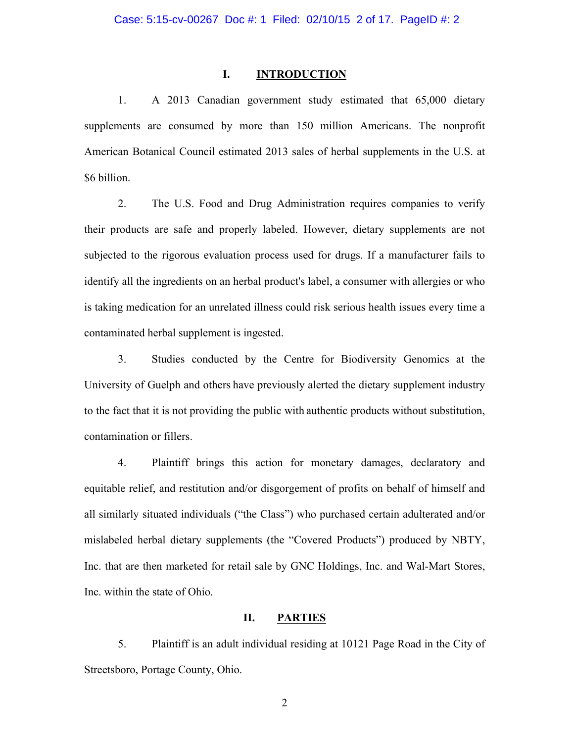# **I. INTRODUCTION**

1. A 2013 Canadian government study estimated that 65,000 dietary supplements are consumed by more than 150 million Americans. The nonprofit American Botanical Council estimated 2013 sales of herbal supplements in the U.S. at \$6 billion.

2. The U.S. Food and Drug Administration requires companies to verify their products are safe and properly labeled. However, dietary supplements are not subjected to the rigorous evaluation process used for drugs. If a manufacturer fails to identify all the ingredients on an herbal product's label, a consumer with allergies or who is taking medication for an unrelated illness could risk serious health issues every time a contaminated herbal supplement is ingested.

3. Studies conducted by the Centre for Biodiversity Genomics at the University of Guelph and others have previously alerted the dietary supplement industry to the fact that it is not providing the public with authentic products without substitution, contamination or fillers.

4. Plaintiff brings this action for monetary damages, declaratory and equitable relief, and restitution and/or disgorgement of profits on behalf of himself and all similarly situated individuals ("the Class") who purchased certain adulterated and/or mislabeled herbal dietary supplements (the "Covered Products") produced by NBTY, Inc. that are then marketed for retail sale by GNC Holdings, Inc. and Wal-Mart Stores, Inc. within the state of Ohio.

# **II. PARTIES**

5. Plaintiff is an adult individual residing at 10121 Page Road in the City of Streetsboro, Portage County, Ohio.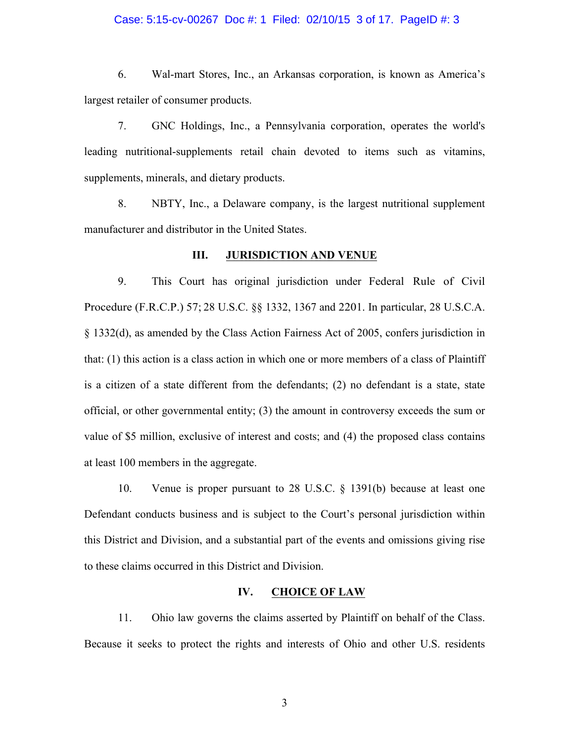#### Case: 5:15-cv-00267 Doc #: 1 Filed: 02/10/15 3 of 17. PageID #: 3

6. Wal-mart Stores, Inc., an Arkansas corporation, is known as America's largest retailer of consumer products.

7. GNC Holdings, Inc., a Pennsylvania corporation, operates the world's leading nutritional-supplements retail chain devoted to items such as vitamins, supplements, minerals, and dietary products.

8. NBTY, Inc., a Delaware company, is the largest nutritional supplement manufacturer and distributor in the United States.

#### **III. JURISDICTION AND VENUE**

9. This Court has original jurisdiction under Federal Rule of Civil Procedure (F.R.C.P.) 57; 28 U.S.C. §§ 1332, 1367 and 2201. In particular, 28 U.S.C.A. § 1332(d), as amended by the Class Action Fairness Act of 2005, confers jurisdiction in that: (1) this action is a class action in which one or more members of a class of Plaintiff is a citizen of a state different from the defendants; (2) no defendant is a state, state official, or other governmental entity; (3) the amount in controversy exceeds the sum or value of \$5 million, exclusive of interest and costs; and (4) the proposed class contains at least 100 members in the aggregate.

10. Venue is proper pursuant to 28 U.S.C. § 1391(b) because at least one Defendant conducts business and is subject to the Court's personal jurisdiction within this District and Division, and a substantial part of the events and omissions giving rise to these claims occurred in this District and Division.

# **IV. CHOICE OF LAW**

11. Ohio law governs the claims asserted by Plaintiff on behalf of the Class. Because it seeks to protect the rights and interests of Ohio and other U.S. residents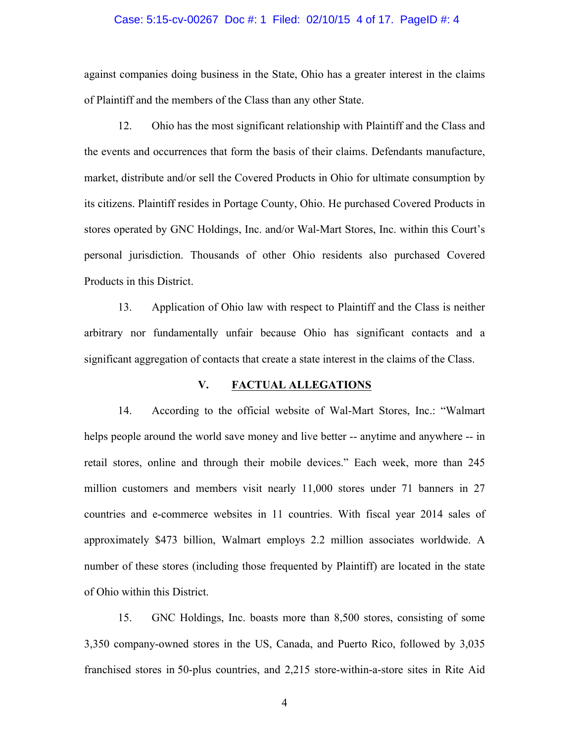#### Case: 5:15-cv-00267 Doc #: 1 Filed: 02/10/15 4 of 17. PageID #: 4

against companies doing business in the State, Ohio has a greater interest in the claims of Plaintiff and the members of the Class than any other State.

12. Ohio has the most significant relationship with Plaintiff and the Class and the events and occurrences that form the basis of their claims. Defendants manufacture, market, distribute and/or sell the Covered Products in Ohio for ultimate consumption by its citizens. Plaintiff resides in Portage County, Ohio. He purchased Covered Products in stores operated by GNC Holdings, Inc. and/or Wal-Mart Stores, Inc. within this Court's personal jurisdiction. Thousands of other Ohio residents also purchased Covered Products in this District.

13. Application of Ohio law with respect to Plaintiff and the Class is neither arbitrary nor fundamentally unfair because Ohio has significant contacts and a significant aggregation of contacts that create a state interest in the claims of the Class.

#### **V. FACTUAL ALLEGATIONS**

14. According to the official website of Wal-Mart Stores, Inc.: "Walmart helps people around the world save money and live better -- anytime and anywhere -- in retail stores, online and through their mobile devices." Each week, more than 245 million customers and members visit nearly 11,000 stores under 71 banners in 27 countries and e-commerce websites in 11 countries. With fiscal year 2014 sales of approximately \$473 billion, Walmart employs 2.2 million associates worldwide. A number of these stores (including those frequented by Plaintiff) are located in the state of Ohio within this District.

15. GNC Holdings, Inc. boasts more than 8,500 stores, consisting of some 3,350 company-owned stores in the US, Canada, and Puerto Rico, followed by 3,035 franchised stores in 50-plus countries, and 2,215 store-within-a-store sites in Rite Aid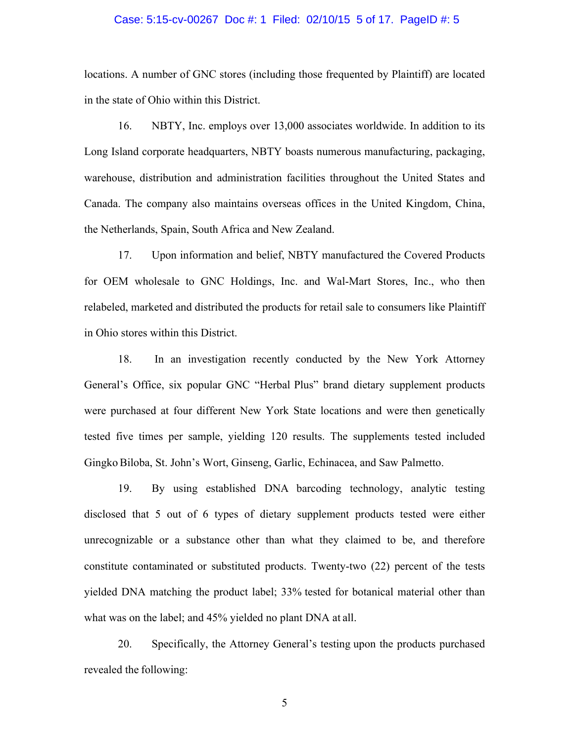#### Case: 5:15-cv-00267 Doc #: 1 Filed: 02/10/15 5 of 17. PageID #: 5

locations. A number of GNC stores (including those frequented by Plaintiff) are located in the state of Ohio within this District.

16. NBTY, Inc. employs over 13,000 associates worldwide. In addition to its Long Island corporate headquarters, NBTY boasts numerous manufacturing, packaging, warehouse, distribution and administration facilities throughout the United States and Canada. The company also maintains overseas offices in the United Kingdom, China, the Netherlands, Spain, South Africa and New Zealand.

17. Upon information and belief, NBTY manufactured the Covered Products for OEM wholesale to GNC Holdings, Inc. and Wal-Mart Stores, Inc., who then relabeled, marketed and distributed the products for retail sale to consumers like Plaintiff in Ohio stores within this District.

18. In an investigation recently conducted by the New York Attorney General's Office, six popular GNC "Herbal Plus" brand dietary supplement products were purchased at four different New York State locations and were then genetically tested five times per sample, yielding 120 results. The supplements tested included GingkoBiloba, St. John's Wort, Ginseng, Garlic, Echinacea, and Saw Palmetto.

19. By using established DNA barcoding technology, analytic testing disclosed that 5 out of 6 types of dietary supplement products tested were either unrecognizable or a substance other than what they claimed to be, and therefore constitute contaminated or substituted products. Twenty-two (22) percent of the tests yielded DNA matching the product label; 33% tested for botanical material other than what was on the label; and 45% yielded no plant DNA at all.

20. Specifically, the Attorney General's testing upon the products purchased revealed the following: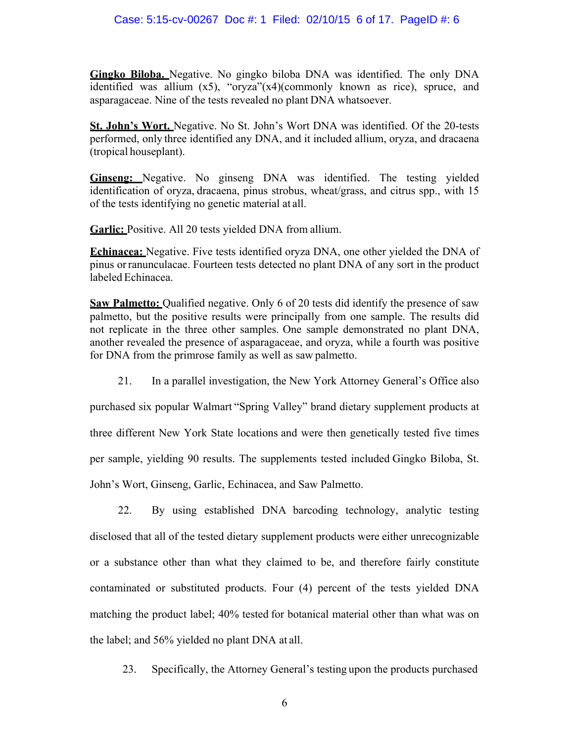**Gingko Biloba.** Negative. No gingko biloba DNA was identified. The only DNA identified was allium (x5), "oryza"(x4)(commonly known as rice), spruce, and asparagaceae. Nine of the tests revealed no plant DNA whatsoever.

**St. John's Wort.** Negative. No St. John's Wort DNA was identified. Of the 20-tests performed, only three identified any DNA, and it included allium, oryza, and dracaena (tropical houseplant).

**Ginseng:** Negative. No ginseng DNA was identified. The testing yielded identification of oryza, dracaena, pinus strobus, wheat/grass, and citrus spp., with 15 of the tests identifying no genetic material at all.

Garlic: Positive. All 20 tests yielded DNA from allium.

**Echinacea:** Negative. Five tests identified oryza DNA, one other yielded the DNA of pinus orranunculacae. Fourteen tests detected no plant DNA of any sort in the product labeled Echinacea.

**Saw Palmetto:** Qualified negative. Only 6 of 20 tests did identify the presence of saw palmetto, but the positive results were principally from one sample. The results did not replicate in the three other samples. One sample demonstrated no plant DNA, another revealed the presence of asparagaceae, and oryza, while a fourth was positive for DNA from the primrose family as well as saw palmetto.

21. In a parallel investigation, the New York Attorney General's Office also

purchased six popular Walmart "Spring Valley" brand dietary supplement products at three different New York State locations and were then genetically tested five times per sample, yielding 90 results. The supplements tested included Gingko Biloba, St. John's Wort, Ginseng, Garlic, Echinacea, and Saw Palmetto.

22. By using established DNA barcoding technology, analytic testing disclosed that all of the tested dietary supplement products were either unrecognizable or a substance other than what they claimed to be, and therefore fairly constitute contaminated or substituted products. Four (4) percent of the tests yielded DNA matching the product label; 40% tested for botanical material other than what was on the label; and 56% yielded no plant DNA at all.

23. Specifically, the Attorney General's testing upon the products purchased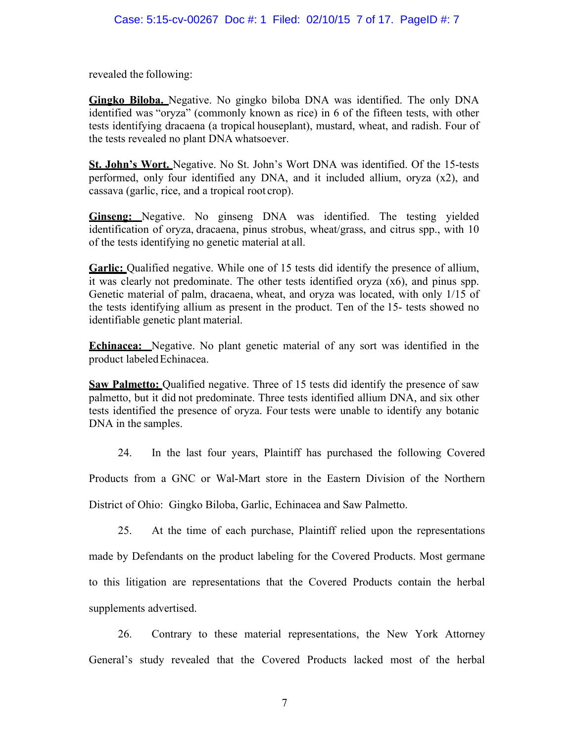revealed the following:

**Gingko Biloba.** Negative. No gingko biloba DNA was identified. The only DNA identified was "oryza" (commonly known as rice) in 6 of the fifteen tests, with other tests identifying dracaena (a tropical houseplant), mustard, wheat, and radish. Four of the tests revealed no plant DNA whatsoever.

**St. John's Wort.** Negative. No St. John's Wort DNA was identified. Of the 15-tests performed, only four identified any DNA, and it included allium, oryza (x2), and cassava (garlic, rice, and a tropical root crop).

**Ginseng:** Negative. No ginseng DNA was identified. The testing yielded identification of oryza, dracaena, pinus strobus, wheat/grass, and citrus spp., with 10 of the tests identifying no genetic material at all.

**Garlic:** Qualified negative. While one of 15 tests did identify the presence of allium, it was clearly not predominate. The other tests identified oryza (x6), and pinus spp. Genetic material of palm, dracaena, wheat, and oryza was located, with only 1/15 of the tests identifying allium as present in the product. Ten of the 15- tests showed no identifiable genetic plant material.

**Echinacea:** Negative. No plant genetic material of any sort was identified in the product labeled Echinacea.

**Saw Palmetto:** Qualified negative. Three of 15 tests did identify the presence of saw palmetto, but it did not predominate. Three tests identified allium DNA, and six other tests identified the presence of oryza. Four tests were unable to identify any botanic DNA in the samples.

24. In the last four years, Plaintiff has purchased the following Covered Products from a GNC or Wal-Mart store in the Eastern Division of the Northern District of Ohio: Gingko Biloba, Garlic, Echinacea and Saw Palmetto.

25. At the time of each purchase, Plaintiff relied upon the representations made by Defendants on the product labeling for the Covered Products. Most germane to this litigation are representations that the Covered Products contain the herbal supplements advertised.

26. Contrary to these material representations, the New York Attorney General's study revealed that the Covered Products lacked most of the herbal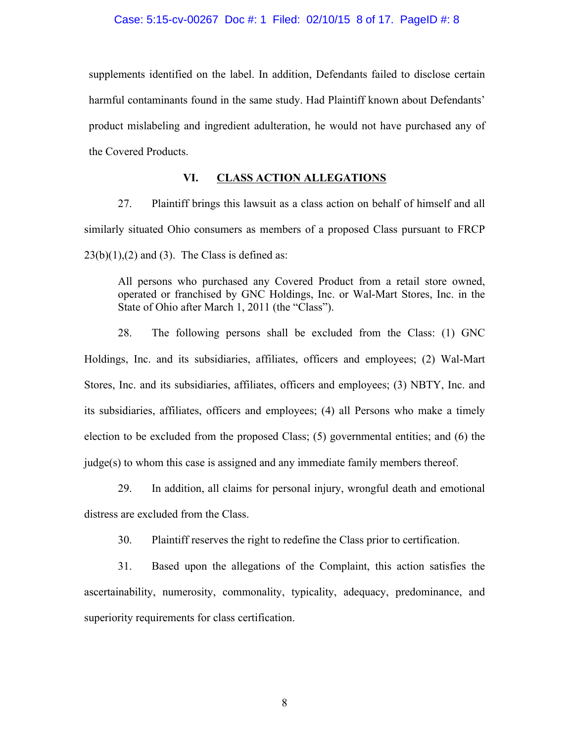#### Case: 5:15-cv-00267 Doc #: 1 Filed: 02/10/15 8 of 17. PageID #: 8

supplements identified on the label. In addition, Defendants failed to disclose certain harmful contaminants found in the same study. Had Plaintiff known about Defendants' product mislabeling and ingredient adulteration, he would not have purchased any of the Covered Products.

# **VI. CLASS ACTION ALLEGATIONS**

27. Plaintiff brings this lawsuit as a class action on behalf of himself and all similarly situated Ohio consumers as members of a proposed Class pursuant to FRCP  $23(b)(1),(2)$  and (3). The Class is defined as:

All persons who purchased any Covered Product from a retail store owned, operated or franchised by GNC Holdings, Inc. or Wal-Mart Stores, Inc. in the State of Ohio after March 1, 2011 (the "Class").

28. The following persons shall be excluded from the Class: (1) GNC Holdings, Inc. and its subsidiaries, affiliates, officers and employees; (2) Wal-Mart Stores, Inc. and its subsidiaries, affiliates, officers and employees; (3) NBTY, Inc. and its subsidiaries, affiliates, officers and employees; (4) all Persons who make a timely election to be excluded from the proposed Class; (5) governmental entities; and (6) the judge(s) to whom this case is assigned and any immediate family members thereof.

29. In addition, all claims for personal injury, wrongful death and emotional distress are excluded from the Class.

30. Plaintiff reserves the right to redefine the Class prior to certification.

31. Based upon the allegations of the Complaint, this action satisfies the ascertainability, numerosity, commonality, typicality, adequacy, predominance, and superiority requirements for class certification.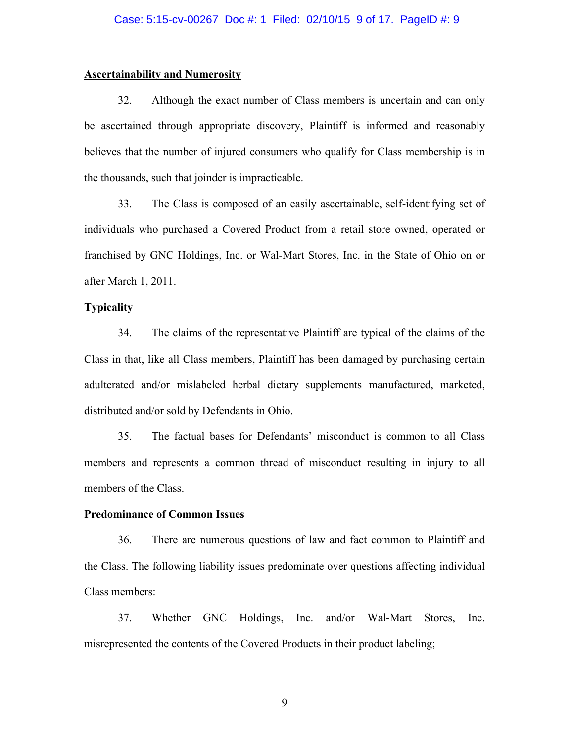### **Ascertainability and Numerosity**

32. Although the exact number of Class members is uncertain and can only be ascertained through appropriate discovery, Plaintiff is informed and reasonably believes that the number of injured consumers who qualify for Class membership is in the thousands, such that joinder is impracticable.

33. The Class is composed of an easily ascertainable, self-identifying set of individuals who purchased a Covered Product from a retail store owned, operated or franchised by GNC Holdings, Inc. or Wal-Mart Stores, Inc. in the State of Ohio on or after March 1, 2011.

# **Typicality**

34. The claims of the representative Plaintiff are typical of the claims of the Class in that, like all Class members, Plaintiff has been damaged by purchasing certain adulterated and/or mislabeled herbal dietary supplements manufactured, marketed, distributed and/or sold by Defendants in Ohio.

35. The factual bases for Defendants' misconduct is common to all Class members and represents a common thread of misconduct resulting in injury to all members of the Class.

#### **Predominance of Common Issues**

36. There are numerous questions of law and fact common to Plaintiff and the Class. The following liability issues predominate over questions affecting individual Class members:

37. Whether GNC Holdings, Inc. and/or Wal-Mart Stores, Inc. misrepresented the contents of the Covered Products in their product labeling;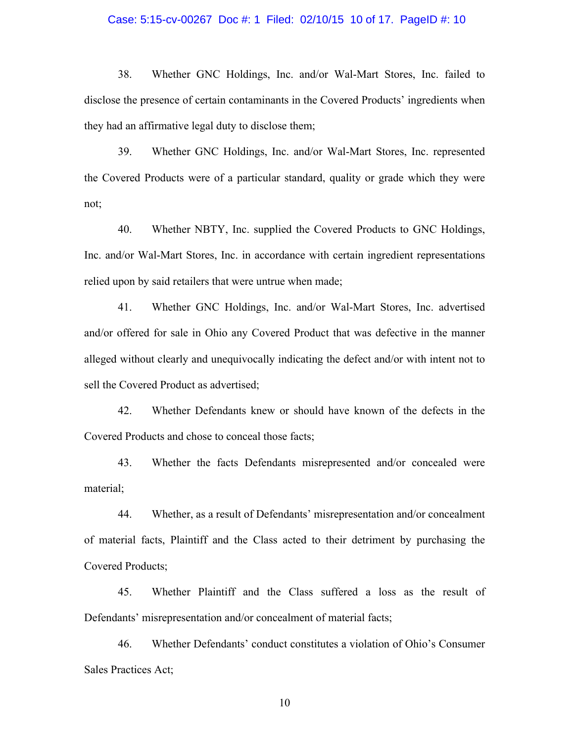#### Case: 5:15-cv-00267 Doc #: 1 Filed: 02/10/15 10 of 17. PageID #: 10

38. Whether GNC Holdings, Inc. and/or Wal-Mart Stores, Inc. failed to disclose the presence of certain contaminants in the Covered Products' ingredients when they had an affirmative legal duty to disclose them;

39. Whether GNC Holdings, Inc. and/or Wal-Mart Stores, Inc. represented the Covered Products were of a particular standard, quality or grade which they were not;

40. Whether NBTY, Inc. supplied the Covered Products to GNC Holdings, Inc. and/or Wal-Mart Stores, Inc. in accordance with certain ingredient representations relied upon by said retailers that were untrue when made;

41. Whether GNC Holdings, Inc. and/or Wal-Mart Stores, Inc. advertised and/or offered for sale in Ohio any Covered Product that was defective in the manner alleged without clearly and unequivocally indicating the defect and/or with intent not to sell the Covered Product as advertised;

42. Whether Defendants knew or should have known of the defects in the Covered Products and chose to conceal those facts;

43. Whether the facts Defendants misrepresented and/or concealed were material;

44. Whether, as a result of Defendants' misrepresentation and/or concealment of material facts, Plaintiff and the Class acted to their detriment by purchasing the Covered Products;

45. Whether Plaintiff and the Class suffered a loss as the result of Defendants' misrepresentation and/or concealment of material facts;

46. Whether Defendants' conduct constitutes a violation of Ohio's Consumer Sales Practices Act;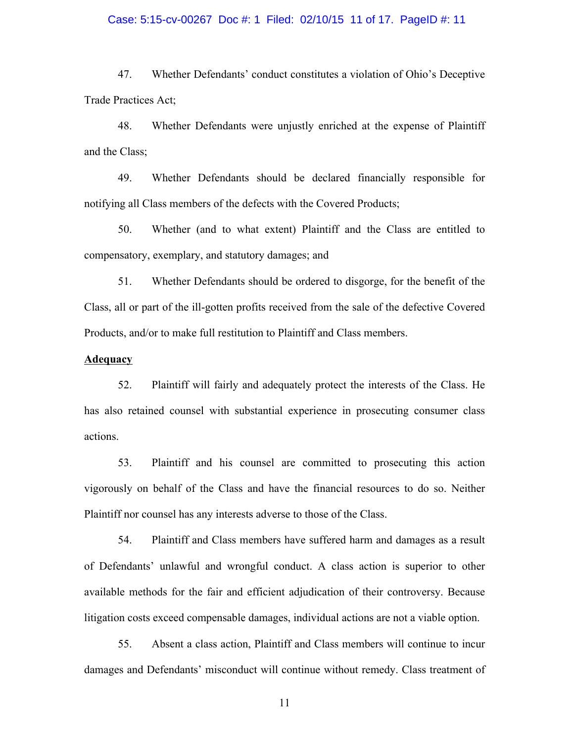#### Case: 5:15-cv-00267 Doc #: 1 Filed: 02/10/15 11 of 17. PageID #: 11

47. Whether Defendants' conduct constitutes a violation of Ohio's Deceptive Trade Practices Act;

48. Whether Defendants were unjustly enriched at the expense of Plaintiff and the Class;

49. Whether Defendants should be declared financially responsible for notifying all Class members of the defects with the Covered Products;

50. Whether (and to what extent) Plaintiff and the Class are entitled to compensatory, exemplary, and statutory damages; and

51. Whether Defendants should be ordered to disgorge, for the benefit of the Class, all or part of the ill-gotten profits received from the sale of the defective Covered Products, and/or to make full restitution to Plaintiff and Class members.

#### **Adequacy**

52. Plaintiff will fairly and adequately protect the interests of the Class. He has also retained counsel with substantial experience in prosecuting consumer class actions.

53. Plaintiff and his counsel are committed to prosecuting this action vigorously on behalf of the Class and have the financial resources to do so. Neither Plaintiff nor counsel has any interests adverse to those of the Class.

54. Plaintiff and Class members have suffered harm and damages as a result of Defendants' unlawful and wrongful conduct. A class action is superior to other available methods for the fair and efficient adjudication of their controversy. Because litigation costs exceed compensable damages, individual actions are not a viable option.

55. Absent a class action, Plaintiff and Class members will continue to incur damages and Defendants' misconduct will continue without remedy. Class treatment of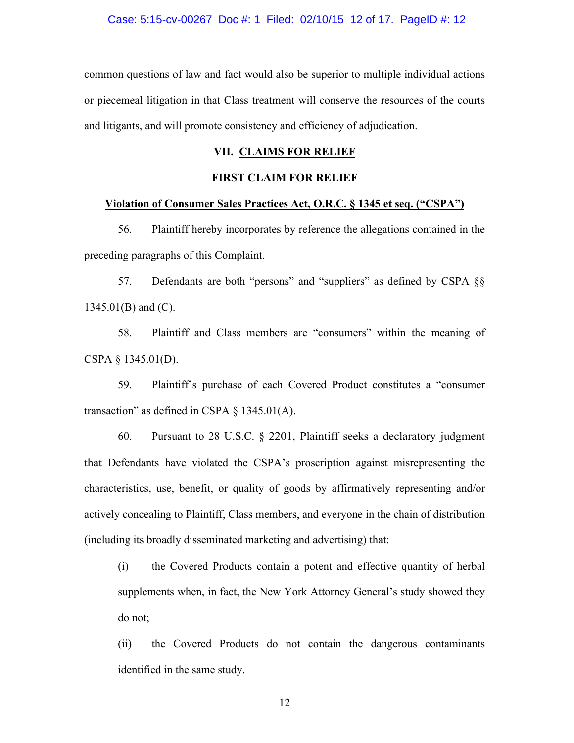common questions of law and fact would also be superior to multiple individual actions or piecemeal litigation in that Class treatment will conserve the resources of the courts and litigants, and will promote consistency and efficiency of adjudication.

### **VII. CLAIMS FOR RELIEF**

# **FIRST CLAIM FOR RELIEF**

#### **Violation of Consumer Sales Practices Act, O.R.C. § 1345 et seq. ("CSPA")**

56. Plaintiff hereby incorporates by reference the allegations contained in the preceding paragraphs of this Complaint.

57. Defendants are both "persons" and "suppliers" as defined by CSPA §§ 1345.01(B) and (C).

58. Plaintiff and Class members are "consumers" within the meaning of CSPA § 1345.01(D).

59. Plaintiff's purchase of each Covered Product constitutes a "consumer transaction" as defined in CSPA  $\S$  1345.01(A).

60. Pursuant to 28 U.S.C. § 2201, Plaintiff seeks a declaratory judgment that Defendants have violated the CSPA's proscription against misrepresenting the characteristics, use, benefit, or quality of goods by affirmatively representing and/or actively concealing to Plaintiff, Class members, and everyone in the chain of distribution (including its broadly disseminated marketing and advertising) that:

(i) the Covered Products contain a potent and effective quantity of herbal supplements when, in fact, the New York Attorney General's study showed they do not;

(ii) the Covered Products do not contain the dangerous contaminants identified in the same study.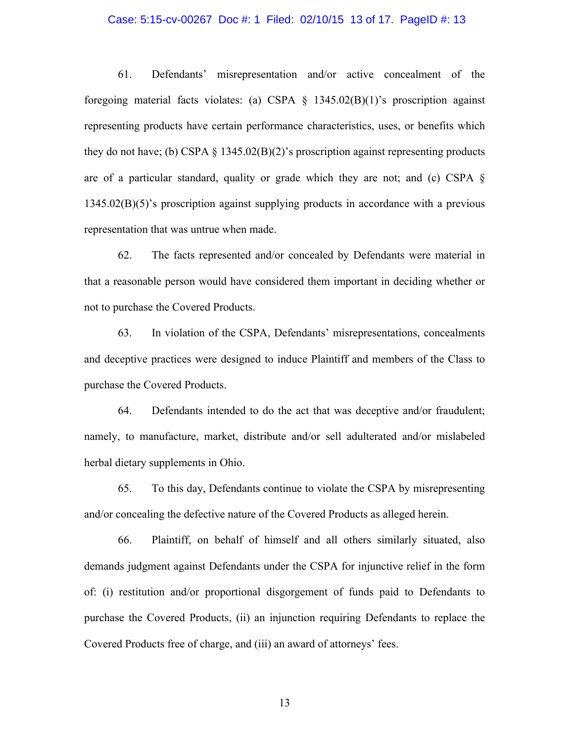#### Case: 5:15-cv-00267 Doc #: 1 Filed: 02/10/15 13 of 17. PageID #: 13

61. Defendants' misrepresentation and/or active concealment of the foregoing material facts violates: (a) CSPA  $\S$  1345.02(B)(1)'s proscription against representing products have certain performance characteristics, uses, or benefits which they do not have; (b) CSPA  $\S$  1345.02(B)(2)'s proscription against representing products are of a particular standard, quality or grade which they are not; and (c) CSPA § 1345.02(B)(5)'s proscription against supplying products in accordance with a previous representation that was untrue when made.

62. The facts represented and/or concealed by Defendants were material in that a reasonable person would have considered them important in deciding whether or not to purchase the Covered Products.

63. In violation of the CSPA, Defendants' misrepresentations, concealments and deceptive practices were designed to induce Plaintiff and members of the Class to purchase the Covered Products.

64. Defendants intended to do the act that was deceptive and/or fraudulent; namely, to manufacture, market, distribute and/or sell adulterated and/or mislabeled herbal dietary supplements in Ohio.

65. To this day, Defendants continue to violate the CSPA by misrepresenting and/or concealing the defective nature of the Covered Products as alleged herein.

66. Plaintiff, on behalf of himself and all others similarly situated, also demands judgment against Defendants under the CSPA for injunctive relief in the form of: (i) restitution and/or proportional disgorgement of funds paid to Defendants to purchase the Covered Products, (ii) an injunction requiring Defendants to replace the Covered Products free of charge, and (iii) an award of attorneys' fees.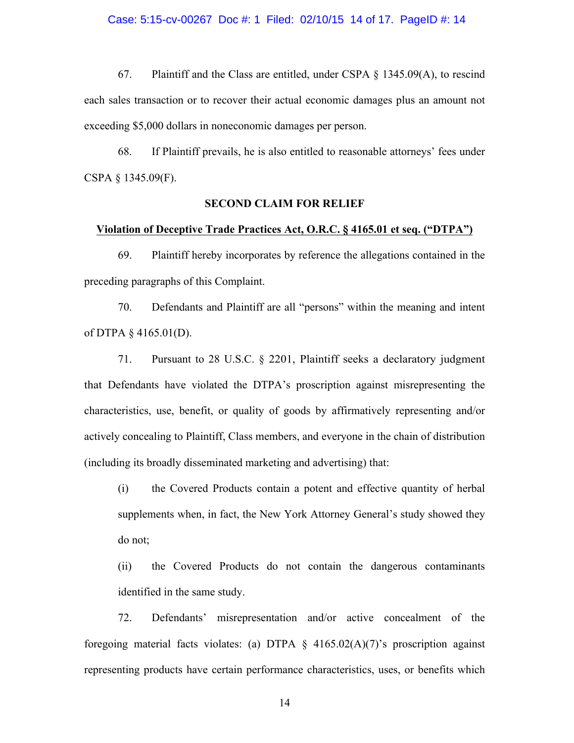#### Case: 5:15-cv-00267 Doc #: 1 Filed: 02/10/15 14 of 17. PageID #: 14

67. Plaintiff and the Class are entitled, under CSPA § 1345.09(A), to rescind each sales transaction or to recover their actual economic damages plus an amount not exceeding \$5,000 dollars in noneconomic damages per person.

68. If Plaintiff prevails, he is also entitled to reasonable attorneys' fees under CSPA § 1345.09(F).

### **SECOND CLAIM FOR RELIEF**

#### **Violation of Deceptive Trade Practices Act, O.R.C. § 4165.01 et seq. ("DTPA")**

69. Plaintiff hereby incorporates by reference the allegations contained in the preceding paragraphs of this Complaint.

70. Defendants and Plaintiff are all "persons" within the meaning and intent of DTPA § 4165.01(D).

71. Pursuant to 28 U.S.C. § 2201, Plaintiff seeks a declaratory judgment that Defendants have violated the DTPA's proscription against misrepresenting the characteristics, use, benefit, or quality of goods by affirmatively representing and/or actively concealing to Plaintiff, Class members, and everyone in the chain of distribution (including its broadly disseminated marketing and advertising) that:

(i) the Covered Products contain a potent and effective quantity of herbal supplements when, in fact, the New York Attorney General's study showed they do not;

(ii) the Covered Products do not contain the dangerous contaminants identified in the same study.

72. Defendants' misrepresentation and/or active concealment of the foregoing material facts violates: (a) DTPA  $\S$  4165.02(A)(7)'s proscription against representing products have certain performance characteristics, uses, or benefits which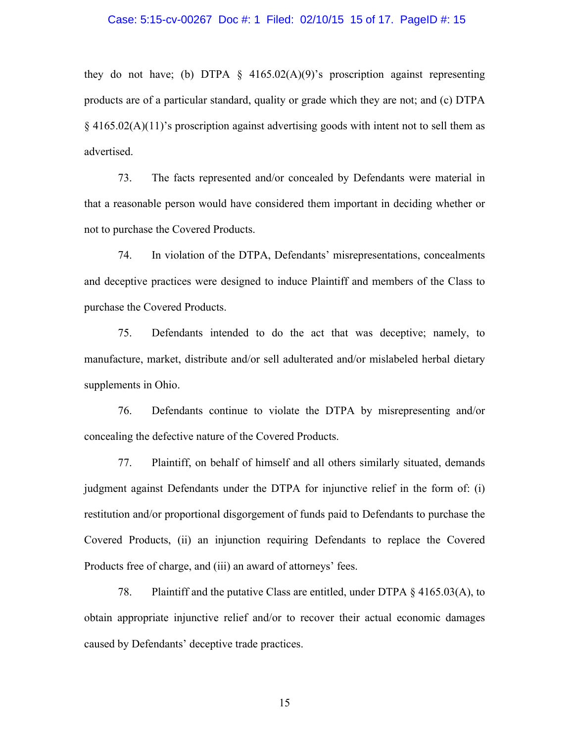#### Case: 5:15-cv-00267 Doc #: 1 Filed: 02/10/15 15 of 17. PageID #: 15

they do not have; (b) DTPA  $\S$  4165.02(A)(9)'s proscription against representing products are of a particular standard, quality or grade which they are not; and (c) DTPA  $§$  4165.02(A)(11)'s proscription against advertising goods with intent not to sell them as advertised.

73. The facts represented and/or concealed by Defendants were material in that a reasonable person would have considered them important in deciding whether or not to purchase the Covered Products.

74. In violation of the DTPA, Defendants' misrepresentations, concealments and deceptive practices were designed to induce Plaintiff and members of the Class to purchase the Covered Products.

75. Defendants intended to do the act that was deceptive; namely, to manufacture, market, distribute and/or sell adulterated and/or mislabeled herbal dietary supplements in Ohio.

76. Defendants continue to violate the DTPA by misrepresenting and/or concealing the defective nature of the Covered Products.

77. Plaintiff, on behalf of himself and all others similarly situated, demands judgment against Defendants under the DTPA for injunctive relief in the form of: (i) restitution and/or proportional disgorgement of funds paid to Defendants to purchase the Covered Products, (ii) an injunction requiring Defendants to replace the Covered Products free of charge, and (iii) an award of attorneys' fees.

78. Plaintiff and the putative Class are entitled, under DTPA § 4165.03(A), to obtain appropriate injunctive relief and/or to recover their actual economic damages caused by Defendants' deceptive trade practices.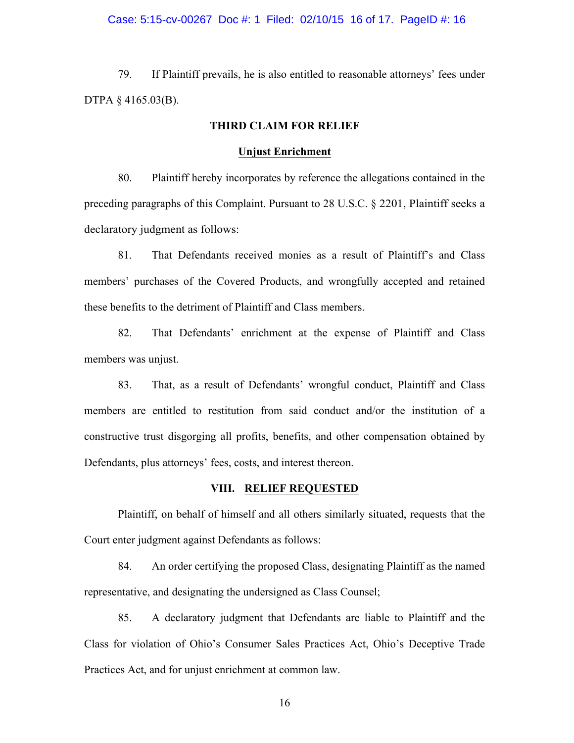#### Case: 5:15-cv-00267 Doc #: 1 Filed: 02/10/15 16 of 17. PageID #: 16

79. If Plaintiff prevails, he is also entitled to reasonable attorneys' fees under DTPA § 4165.03(B).

# **THIRD CLAIM FOR RELIEF**

#### **Unjust Enrichment**

80. Plaintiff hereby incorporates by reference the allegations contained in the preceding paragraphs of this Complaint. Pursuant to 28 U.S.C. § 2201, Plaintiff seeks a declaratory judgment as follows:

81. That Defendants received monies as a result of Plaintiff's and Class members' purchases of the Covered Products, and wrongfully accepted and retained these benefits to the detriment of Plaintiff and Class members.

82. That Defendants' enrichment at the expense of Plaintiff and Class members was unjust.

83. That, as a result of Defendants' wrongful conduct, Plaintiff and Class members are entitled to restitution from said conduct and/or the institution of a constructive trust disgorging all profits, benefits, and other compensation obtained by Defendants, plus attorneys' fees, costs, and interest thereon.

#### **VIII. RELIEF REQUESTED**

Plaintiff, on behalf of himself and all others similarly situated, requests that the Court enter judgment against Defendants as follows:

84. An order certifying the proposed Class, designating Plaintiff as the named representative, and designating the undersigned as Class Counsel;

85. A declaratory judgment that Defendants are liable to Plaintiff and the Class for violation of Ohio's Consumer Sales Practices Act, Ohio's Deceptive Trade Practices Act, and for unjust enrichment at common law.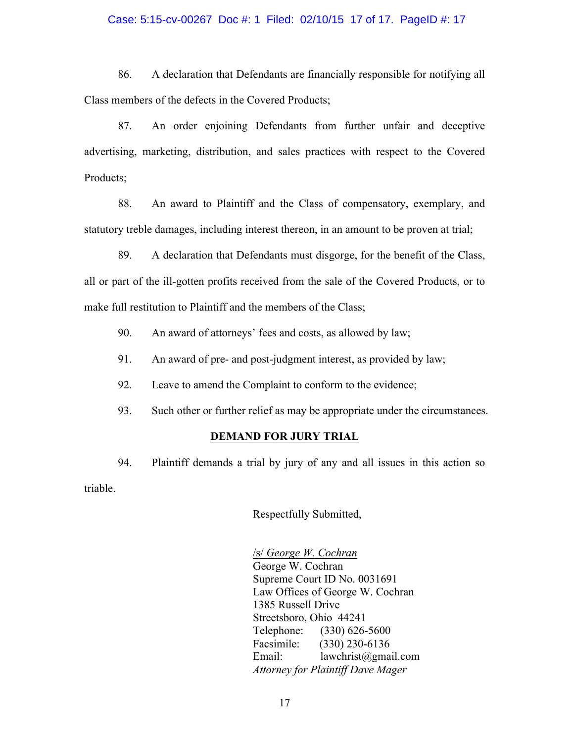#### Case: 5:15-cv-00267 Doc #: 1 Filed: 02/10/15 17 of 17. PageID #: 17

86. A declaration that Defendants are financially responsible for notifying all Class members of the defects in the Covered Products;

87. An order enjoining Defendants from further unfair and deceptive advertising, marketing, distribution, and sales practices with respect to the Covered Products;

88. An award to Plaintiff and the Class of compensatory, exemplary, and statutory treble damages, including interest thereon, in an amount to be proven at trial;

- 89. A declaration that Defendants must disgorge, for the benefit of the Class, all or part of the ill-gotten profits received from the sale of the Covered Products, or to make full restitution to Plaintiff and the members of the Class;
	- 90. An award of attorneys' fees and costs, as allowed by law;
	- 91. An award of pre- and post-judgment interest, as provided by law;
	- 92. Leave to amend the Complaint to conform to the evidence;

93. Such other or further relief as may be appropriate under the circumstances.

# **DEMAND FOR JURY TRIAL**

94. Plaintiff demands a trial by jury of any and all issues in this action so triable.

Respectfully Submitted,

/s/ *George W. Cochran* George W. Cochran Supreme Court ID No. 0031691 Law Offices of George W. Cochran 1385 Russell Drive Streetsboro, Ohio 44241 Telephone: (330) 626-5600 Facsimile: (330) 230-6136 Email: lawchrist@gmail.com *Attorney for Plaintiff Dave Mager*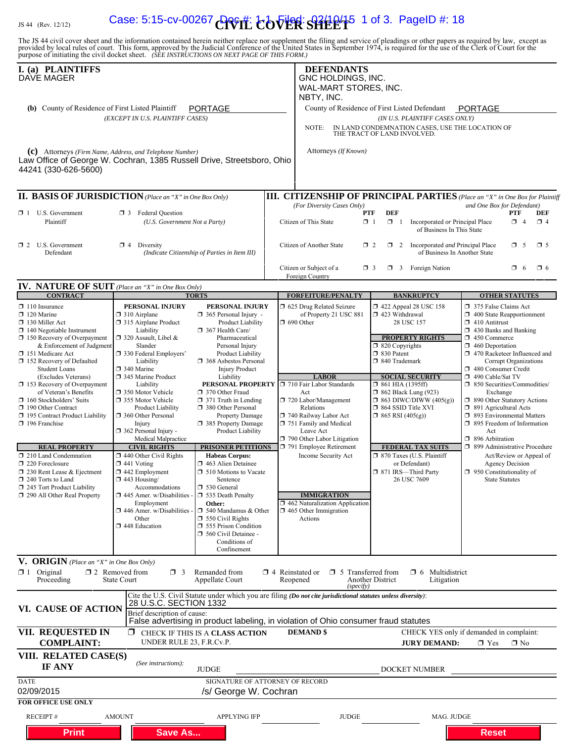# $L_{\rm JS\,44\,~(Rev.~12/12)}$  Case: 5:15-cv-00267  $C$  of  $E$   $\overleftrightarrow{C}$   $\overleftrightarrow{C}$   $\overleftrightarrow{C}$   $\overleftrightarrow{C}$   $\overleftrightarrow{C}$   $\overleftrightarrow{C}$   $\overleftrightarrow{C}$   $\overleftrightarrow{C}$   $\overleftrightarrow{C}$   $\overleftrightarrow{C}$   $\overleftrightarrow{C}$   $\overleftrightarrow{C}$   $\overleftrightarrow{C}$   $\overleftrightarrow{C}$   $\overleftrightarrow{C}$   $\overleftrightarrow{C}$   $\overleftrightarrow{C}$   $\overleftrightarrow{C}$   $\$

The JS 44 civil cover sheet and the information contained herein neither replace nor supplement the filing and service of pleadings or other papers as required by law, except as provided by local rules of court. This form,

| I. (a) PLAINTIFFS<br>DAVE MAGER                                                                                                                                                                                                                      |                                                                                                                                                                                                                                            |                                                                                                                                                                                                                                     | <b>DEFENDANTS</b><br>GNC HOLDINGS, INC.<br>WAL-MART STORES, INC.                                                                                                                   |                                                                                                                                                                      |                                                                                                                                                                                                                                                          |
|------------------------------------------------------------------------------------------------------------------------------------------------------------------------------------------------------------------------------------------------------|--------------------------------------------------------------------------------------------------------------------------------------------------------------------------------------------------------------------------------------------|-------------------------------------------------------------------------------------------------------------------------------------------------------------------------------------------------------------------------------------|------------------------------------------------------------------------------------------------------------------------------------------------------------------------------------|----------------------------------------------------------------------------------------------------------------------------------------------------------------------|----------------------------------------------------------------------------------------------------------------------------------------------------------------------------------------------------------------------------------------------------------|
| (b) County of Residence of First Listed Plaintiff                                                                                                                                                                                                    | (EXCEPT IN U.S. PLAINTIFF CASES)                                                                                                                                                                                                           | <b>PORTAGE</b>                                                                                                                                                                                                                      | NBTY, INC.                                                                                                                                                                         | County of Residence of First Listed Defendant<br>(IN U.S. PLAINTIFF CASES ONLY)                                                                                      | <b>PORTAGE</b>                                                                                                                                                                                                                                           |
|                                                                                                                                                                                                                                                      |                                                                                                                                                                                                                                            |                                                                                                                                                                                                                                     | NOTE:                                                                                                                                                                              | IN LAND CONDEMNATION CASES, USE THE LOCATION OF<br>THE TRACT OF LAND INVOLVED.                                                                                       |                                                                                                                                                                                                                                                          |
| (c) Attorneys (Firm Name, Address, and Telephone Number)<br>Law Office of George W. Cochran, 1385 Russell Drive, Streetsboro, Ohio<br>44241 (330-626-5600)                                                                                           |                                                                                                                                                                                                                                            |                                                                                                                                                                                                                                     | Attorneys (If Known)                                                                                                                                                               |                                                                                                                                                                      |                                                                                                                                                                                                                                                          |
| <b>II. BASIS OF JURISDICTION</b> (Place an "X" in One Box Only)                                                                                                                                                                                      |                                                                                                                                                                                                                                            |                                                                                                                                                                                                                                     |                                                                                                                                                                                    |                                                                                                                                                                      | <b>III. CITIZENSHIP OF PRINCIPAL PARTIES</b> (Place an "X" in One Box for Plaintiff                                                                                                                                                                      |
| 1 U.S. Government<br>Plaintiff                                                                                                                                                                                                                       | <b>1</b> 3 Federal Question<br>(U.S. Government Not a Party)                                                                                                                                                                               |                                                                                                                                                                                                                                     | (For Diversity Cases Only)<br>Citizen of This State                                                                                                                                | <b>DEF</b><br>PTF<br>$\mathbf{X}$ 1<br>$\Box$ 1<br>Incorporated or Principal Place<br>of Business In This State                                                      | and One Box for Defendant)<br>PTF<br>DEF<br>$\Box$ 4<br>$\Box$ 4                                                                                                                                                                                         |
| $\Box$ 2 U.S. Government<br>Defendant                                                                                                                                                                                                                | $\boxtimes$ 4 Diversity                                                                                                                                                                                                                    | (Indicate Citizenship of Parties in Item III)                                                                                                                                                                                       | Citizen of Another State                                                                                                                                                           | 2 Incorporated <i>and</i> Principal Place<br>$\Box$ 2<br>of Business In Another State                                                                                | $\mathbf{\overline{X}}$ 5<br>$\Box$ 5                                                                                                                                                                                                                    |
|                                                                                                                                                                                                                                                      |                                                                                                                                                                                                                                            |                                                                                                                                                                                                                                     | Citizen or Subject of a<br>Foreign Country                                                                                                                                         | <b>3</b> Foreign Nation<br>$\Box$ 3                                                                                                                                  | $\Box$ 6<br>$\Box$ 6                                                                                                                                                                                                                                     |
| <b>IV. NATURE OF SUIT</b> (Place an "X" in One Box Only)<br><b>CONTRACT</b>                                                                                                                                                                          |                                                                                                                                                                                                                                            | <b>TORTS</b>                                                                                                                                                                                                                        | <b>FORFEITURE/PENALTY</b>                                                                                                                                                          | <b>BANKRUPTCY</b>                                                                                                                                                    | <b>OTHER STATUTES</b>                                                                                                                                                                                                                                    |
| $\Box$ 110 Insurance<br>$\Box$ 120 Marine<br>$\Box$ 130 Miller Act<br>$\Box$ 140 Negotiable Instrument<br>$\Box$ 150 Recovery of Overpayment<br>& Enforcement of Judgment<br>151 Medicare Act<br>□ 152 Recovery of Defaulted<br><b>Student Loans</b> | PERSONAL INJURY<br>$\Box$ 310 Airplane<br>□ 315 Airplane Product<br>Liability<br>$\Box$ 320 Assault, Libel &<br>Slander<br>□ 330 Federal Employers'<br>Liability<br>340 Marine                                                             | PERSONAL INJURY<br>$\Box$ 365 Personal Injury -<br>Product Liability<br>367 Health Care/<br>Pharmaceutical<br>Personal Injury<br>Product Liability<br>368 Asbestos Personal<br><b>Injury Product</b>                                | 1 625 Drug Related Seizure<br>of Property 21 USC 881<br>$\Box$ 690 Other                                                                                                           | $\Box$ 422 Appeal 28 USC 158<br>423 Withdrawal<br>28 USC 157<br><b>PROPERTY RIGHTS</b><br>$\Box$ 820 Copyrights<br>□ 830 Patent<br>□ 840 Trademark                   | 375 False Claims Act<br>$\Box$ 400 State Reapportionment<br>$\Box$ 410 Antitrust<br>$\Box$ 430 Banks and Banking<br>$\Box$ 450 Commerce<br>$\Box$ 460 Deportation<br>$\Box$ 470 Racketeer Influenced and<br>Corrupt Organizations<br>480 Consumer Credit |
| (Excludes Veterans)<br>$\Box$ 153 Recovery of Overpayment<br>of Veteran's Benefits<br>$\Box$ 160 Stockholders' Suits<br>190 Other Contract<br>195 Contract Product Liability<br>$\Box$ 196 Franchise                                                 | 345 Marine Product<br>Liability<br>□ 350 Motor Vehicle<br>355 Motor Vehicle<br><b>Product Liability</b><br>360 Other Personal<br>Injury<br>362 Personal Injury -<br>Medical Malpractice                                                    | Liability<br>PERSONAL PROPERTY<br>370 Other Fraud<br>$\Box$ 371 Truth in Lending<br>380 Other Personal<br><b>Property Damage</b><br>385 Property Damage<br>Product Liability                                                        | <b>LABOR</b><br>710 Fair Labor Standards<br>Act<br>720 Labor/Management<br>Relations<br>740 Railway Labor Act<br>751 Family and Medical<br>Leave Act<br>790 Other Labor Litigation | <b>SOCIAL SECURITY</b><br>$\Box$ 861 HIA (1395ff)<br>$\Box$ 862 Black Lung (923)<br>$\Box$ 863 DIWC/DIWW (405(g))<br>□ 864 SSID Title XVI<br>$\Box$ 865 RSI (405(g)) | 490 Cable/Sat TV<br>□ 850 Securities/Commodities/<br>Exchange<br>1 890 Other Statutory Actions<br>$\Box$ 891 Agricultural Acts<br>1 893 Environmental Matters<br>1 895 Freedom of Information<br>Act<br>□ 896 Arbitration                                |
| <b>REAL PROPERTY</b><br>$\Box$ 210 Land Condemnation<br>$\Box$ 220 Foreclosure<br>$\Box$ 230 Rent Lease & Ejectment<br>$\Box$ 240 Torts to Land<br>245 Tort Product Liability<br>290 All Other Real Property                                         | <b>CIVIL RIGHTS</b><br>$\Box$ 440 Other Civil Rights<br>$\Box$ 441 Voting<br>$\Box$ 442 Employment<br>$\Box$ 443 Housing/<br>Accommodations<br>$\Box$ 445 Amer. w/Disabilities<br>Employment<br>$\Box$ 446 Amer. w/Disabilities -<br>Other | <b>PRISONER PETITIONS</b><br><b>Habeas Corpus:</b><br>$\Box$ 463 Alien Detainee<br>$\Box$ 510 Motions to Vacate<br>Sentence<br>530 General<br>535 Death Penalty<br>Other:<br>$\Box$ 540 Mandamus & Other<br>$\Box$ 550 Civil Rights | 791 Employee Retirement<br>Income Security Act<br><b>IMMIGRATION</b><br>$\Box$ 462 Naturalization Application<br>$\Box$ 465 Other Immigration<br>Actions                           | <b>FEDERAL TAX SUITS</b><br>□ 870 Taxes (U.S. Plaintiff<br>or Defendant)<br>□ 871 IRS—Third Party<br>26 USC 7609                                                     | □ 899 Administrative Procedure<br>Act/Review or Appeal of<br><b>Agency Decision</b><br>$\Box$ 950 Constitutionality of<br><b>State Statutes</b>                                                                                                          |
|                                                                                                                                                                                                                                                      | 448 Education                                                                                                                                                                                                                              | 555 Prison Condition<br>560 Civil Detainee -<br>Conditions of<br>Confinement                                                                                                                                                        |                                                                                                                                                                                    |                                                                                                                                                                      |                                                                                                                                                                                                                                                          |
| V. ORIGIN (Place an "X" in One Box Only)<br>$\boxtimes$ 1 Original<br>Proceeding                                                                                                                                                                     | $\square$ 2 Removed from<br>$\Box$ 3<br><b>State Court</b>                                                                                                                                                                                 | Remanded from<br>Appellate Court                                                                                                                                                                                                    | $\Box$ 4 Reinstated or<br>$\Box$ 5 Transferred from<br>Reopened<br>(specify)                                                                                                       | $\Box$ 6 Multidistrict<br>Another District<br>Litigation                                                                                                             |                                                                                                                                                                                                                                                          |
| VI. CAUSE OF ACTION                                                                                                                                                                                                                                  | 28 U.S.C. SECTION 1332<br>Brief description of cause:                                                                                                                                                                                      |                                                                                                                                                                                                                                     | Cite the U.S. Civil Statute under which you are filing (Do not cite jurisdictional statutes unless diversity):                                                                     |                                                                                                                                                                      |                                                                                                                                                                                                                                                          |
| VII. REQUESTED IN<br><b>COMPLAINT:</b>                                                                                                                                                                                                               | ⊠<br>UNDER RULE 23, F.R.Cv.P.                                                                                                                                                                                                              | CHECK IF THIS IS A CLASS ACTION                                                                                                                                                                                                     | False advertising in product labeling, in violation of Ohio consumer fraud statutes<br><b>DEMAND \$</b>                                                                            | <b>JURY DEMAND:</b>                                                                                                                                                  | CHECK YES only if demanded in complaint:<br>$\times$ Yes<br>$\Box$ No                                                                                                                                                                                    |
| VIII. RELATED CASE(S)<br><b>IF ANY</b>                                                                                                                                                                                                               | (See instructions):                                                                                                                                                                                                                        | <b>JUDGE</b>                                                                                                                                                                                                                        |                                                                                                                                                                                    | DOCKET NUMBER                                                                                                                                                        |                                                                                                                                                                                                                                                          |
| <b>DATE</b><br>02/09/2015                                                                                                                                                                                                                            |                                                                                                                                                                                                                                            | SIGNATURE OF ATTORNEY OF RECORD<br>/s/ George W. Cochran                                                                                                                                                                            |                                                                                                                                                                                    |                                                                                                                                                                      |                                                                                                                                                                                                                                                          |
| <b>FOR OFFICE USE ONLY</b><br><b>RECEIPT#</b>                                                                                                                                                                                                        | <b>AMOUNT</b>                                                                                                                                                                                                                              | <b>APPLYING IFP</b>                                                                                                                                                                                                                 | <b>JUDGE</b>                                                                                                                                                                       | MAG. JUDGE                                                                                                                                                           |                                                                                                                                                                                                                                                          |
| <b>Print</b>                                                                                                                                                                                                                                         | <b>Save As</b>                                                                                                                                                                                                                             |                                                                                                                                                                                                                                     |                                                                                                                                                                                    |                                                                                                                                                                      | <b>Reset</b>                                                                                                                                                                                                                                             |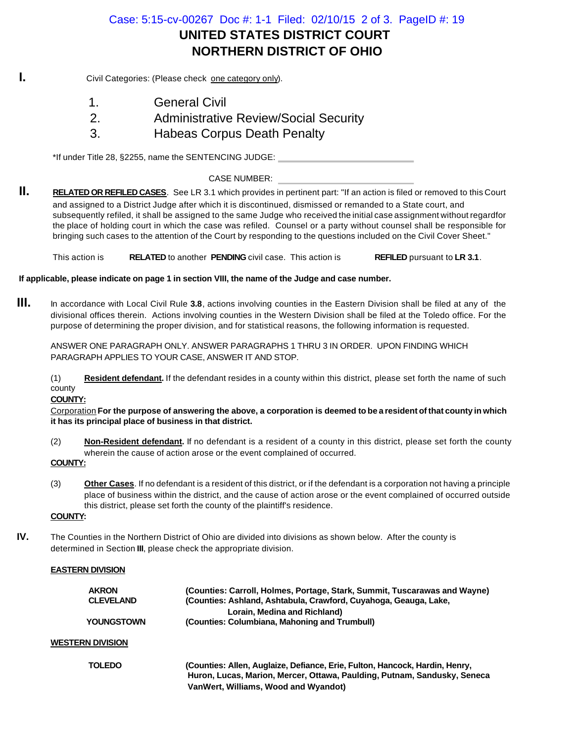# **UNITED STATES DISTRICT COURT NORTHERN DISTRICT OF OHIO** Case: 5:15-cv-00267 Doc #: 1-1 Filed: 02/10/15 2 of 3. PageID #: 19

**I.** Civil Categories: (Please check one category only).



1. **I** General Civil 2. **Administrative Review/Social Security** 

3. **Habeas Corpus Death Penalty** 

\*If under Title 28, §2255, name the SENTENCING JUDGE:

CASE NUMBER:

**II. RELATED OR REFILED CASES**. See LR 3.1 which provides in pertinent part: "If an action is filed or removed to this Court and assigned to a District Judge after which it is discontinued, dismissed or remanded to a State court, and subsequently refiled, it shall be assigned to the same Judge who received the initial case assignment without regardfor the place of holding court in which the case was refiled. Counsel or a party without counsel shall be responsible for bringing such cases to the attention of the Court by responding to the questions included on the Civil Cover Sheet."

This action is **RELATED** to another **PENDING** civil case. This action is **REFILED** pursuant to LR 3.1.

**If applicable, please indicate on page 1 in section VIII, the name of the Judge and case number.**

**III.** In accordance with Local Civil Rule **3.8**, actions involving counties in the Eastern Division shall be filed at any of the divisional offices therein. Actions involving counties in the Western Division shall be filed at the Toledo office. For the purpose of determining the proper division, and for statistical reasons, the following information is requested.

ANSWER ONE PARAGRAPH ONLY. ANSWER PARAGRAPHS 1 THRU 3 IN ORDER. UPON FINDING WHICH PARAGRAPH APPLIES TO YOUR CASE, ANSWER IT AND STOP.

(1) **Resident defendant.** If the defendant resides in a county within this district, please set forth the name of such county

**COUNTY:**

Corporation **For the purpose of answering the above, a corporation is deemed to be a resident of that county in which it has its principal place of business in that district.**

- (2) **Non-Resident defendant.** If no defendant is a resident of a county in this district, please set forth the county wherein the cause of action arose or the event complained of occurred.
- **COUNTY:**
- (3) **Other Cases**. If no defendant is a resident of this district, or if the defendant is a corporation not having a principle place of business within the district, and the cause of action arose or the event complained of occurred outside this district, please set forth the county of the plaintiff's residence.

# **COUNTY:**

**IV.** The Counties in the Northern District of Ohio are divided into divisions as shown below. After the county is determined in Section **III**, please check the appropriate division.

### **EASTERN DIVISION**

| <b>AKRON</b><br><b>CLEVELANI</b> |
|----------------------------------|
| YOUNGSTO'                        |

 **AKRON (Counties: Carroll, Holmes, Portage, Stark, Summit, Tuscarawas and Wayne)** (Counties: Ashland, Ashtabula, Crawford, Cuyahoga, Geauga, Lake,  **Lorain, Medina and Richland) WN (Counties: Columbiana, Mahoning and Trumbull)** 

### **WESTERN DIVISION**



 **TOLEDO (Counties: Allen, Auglaize, Defiance, Erie, Fulton, Hancock, Hardin, Henry, Huron, Lucas, Marion, Mercer, Ottawa, Paulding, Putnam, Sandusky, Seneca VanWert, Williams, Wood and Wyandot)**